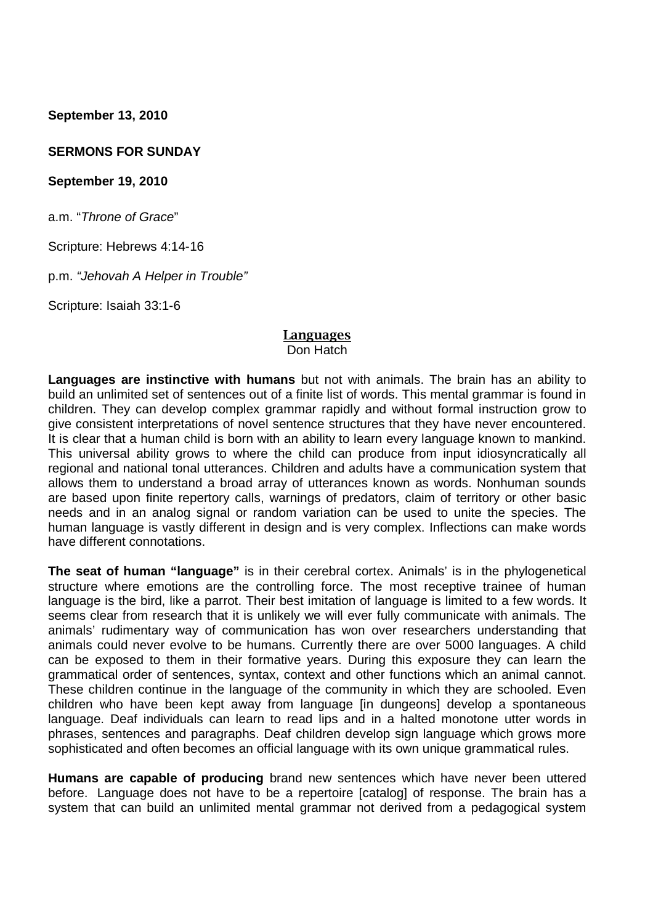**September 13, 2010**

#### **SERMONS FOR SUNDAY**

#### **September 19, 2010**

a.m. "*Throne of Grace*"

Scripture: Hebrews 4:14-16

p.m. *"Jehovah A Helper in Trouble"*

Scripture: Isaiah 33:1-6

#### **Languages** Don Hatch

**Languages are instinctive with humans** but not with animals. The brain has an ability to build an unlimited set of sentences out of a finite list of words. This mental grammar is found in children. They can develop complex grammar rapidly and without formal instruction grow to give consistent interpretations of novel sentence structures that they have never encountered. It is clear that a human child is born with an ability to learn every language known to mankind. This universal ability grows to where the child can produce from input idiosyncratically all regional and national tonal utterances. Children and adults have a communication system that allows them to understand a broad array of utterances known as words. Nonhuman sounds are based upon finite repertory calls, warnings of predators, claim of territory or other basic needs and in an analog signal or random variation can be used to unite the species. The human language is vastly different in design and is very complex. Inflections can make words have different connotations.

**The seat of human "language"** is in their cerebral cortex. Animals' is in the phylogenetical structure where emotions are the controlling force. The most receptive trainee of human language is the bird, like a parrot. Their best imitation of language is limited to a few words. It seems clear from research that it is unlikely we will ever fully communicate with animals. The animals' rudimentary way of communication has won over researchers understanding that animals could never evolve to be humans. Currently there are over 5000 languages. A child can be exposed to them in their formative years. During this exposure they can learn the grammatical order of sentences, syntax, context and other functions which an animal cannot. These children continue in the language of the community in which they are schooled. Even children who have been kept away from language [in dungeons] develop a spontaneous language. Deaf individuals can learn to read lips and in a halted monotone utter words in phrases, sentences and paragraphs. Deaf children develop sign language which grows more sophisticated and often becomes an official language with its own unique grammatical rules.

**Humans are capable of producing** brand new sentences which have never been uttered before. Language does not have to be a repertoire [catalog] of response. The brain has a system that can build an unlimited mental grammar not derived from a pedagogical system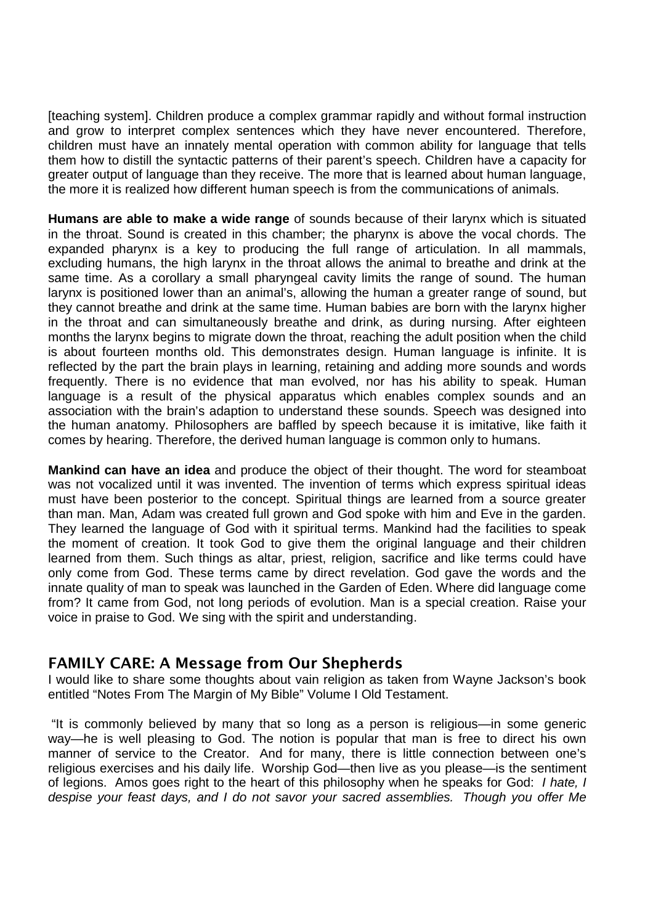[teaching system]. Children produce a complex grammar rapidly and without formal instruction and grow to interpret complex sentences which they have never encountered. Therefore, children must have an innately mental operation with common ability for language that tells them how to distill the syntactic patterns of their parent's speech. Children have a capacity for greater output of language than they receive. The more that is learned about human language, the more it is realized how different human speech is from the communications of animals.

**Humans are able to make a wide range** of sounds because of their larynx which is situated in the throat. Sound is created in this chamber; the pharynx is above the vocal chords. The expanded pharynx is a key to producing the full range of articulation. In all mammals, excluding humans, the high larynx in the throat allows the animal to breathe and drink at the same time. As a corollary a small pharyngeal cavity limits the range of sound. The human larynx is positioned lower than an animal's, allowing the human a greater range of sound, but they cannot breathe and drink at the same time. Human babies are born with the larynx higher in the throat and can simultaneously breathe and drink, as during nursing. After eighteen months the larynx begins to migrate down the throat, reaching the adult position when the child is about fourteen months old. This demonstrates design. Human language is infinite. It is reflected by the part the brain plays in learning, retaining and adding more sounds and words frequently. There is no evidence that man evolved, nor has his ability to speak. Human language is a result of the physical apparatus which enables complex sounds and an association with the brain's adaption to understand these sounds. Speech was designed into the human anatomy. Philosophers are baffled by speech because it is imitative, like faith it comes by hearing. Therefore, the derived human language is common only to humans.

**Mankind can have an idea** and produce the object of their thought. The word for steamboat was not vocalized until it was invented. The invention of terms which express spiritual ideas must have been posterior to the concept. Spiritual things are learned from a source greater than man. Man, Adam was created full grown and God spoke with him and Eve in the garden. They learned the language of God with it spiritual terms. Mankind had the facilities to speak the moment of creation. It took God to give them the original language and their children learned from them. Such things as altar, priest, religion, sacrifice and like terms could have only come from God. These terms came by direct revelation. God gave the words and the innate quality of man to speak was launched in the Garden of Eden. Where did language come from? It came from God, not long periods of evolution. Man is a special creation. Raise your voice in praise to God. We sing with the spirit and understanding.

### **FAMILY CARE: A Message from Our Shepherds**

I would like to share some thoughts about vain religion as taken from Wayne Jackson's book entitled "Notes From The Margin of My Bible" Volume I Old Testament.

"It is commonly believed by many that so long as a person is religious—in some generic way—he is well pleasing to God. The notion is popular that man is free to direct his own manner of service to the Creator. And for many, there is little connection between one's religious exercises and his daily life. Worship God—then live as you please—is the sentiment of legions. Amos goes right to the heart of this philosophy when he speaks for God: *I hate, I despise your feast days, and I do not savor your sacred assemblies. Though you offer Me*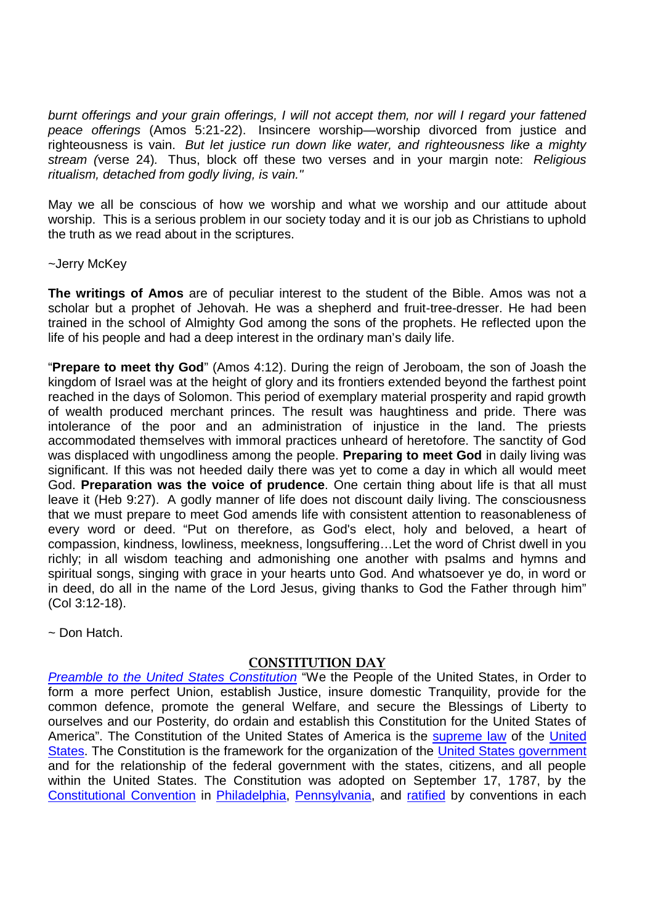*burnt offerings and your grain offerings, I will not accept them, nor will I regard your fattened peace offerings* (Amos 5:21-22). Insincere worship—worship divorced from justice and righteousness is vain. *But let justice run down like water, and righteousness like a mighty stream (*verse 24)*.* Thus, block off these two verses and in your margin note: *Religious ritualism, detached from godly living, is vain."*

May we all be conscious of how we worship and what we worship and our attitude about worship. This is a serious problem in our society today and it is our job as Christians to uphold the truth as we read about in the scriptures.

#### ~Jerry McKey

**The writings of Amos** are of peculiar interest to the student of the Bible. Amos was not a scholar but a prophet of Jehovah. He was a shepherd and fruit-tree-dresser. He had been trained in the school of Almighty God among the sons of the prophets. He reflected upon the life of his people and had a deep interest in the ordinary man's daily life.

"**Prepare to meet thy God**" (Amos 4:12). During the reign of Jeroboam, the son of Joash the kingdom of Israel was at the height of glory and its frontiers extended beyond the farthest point reached in the days of Solomon. This period of exemplary material prosperity and rapid growth of wealth produced merchant princes. The result was haughtiness and pride. There was intolerance of the poor and an administration of injustice in the land. The priests accommodated themselves with immoral practices unheard of heretofore. The sanctity of God was displaced with ungodliness among the people. **Preparing to meet God** in daily living was significant. If this was not heeded daily there was yet to come a day in which all would meet God. **Preparation was the voice of prudence**. One certain thing about life is that all must leave it (Heb 9:27). A godly manner of life does not discount daily living. The consciousness that we must prepare to meet God amends life with consistent attention to reasonableness of every word or deed. "Put on therefore, as God's elect, holy and beloved, a heart of compassion, kindness, lowliness, meekness, longsuffering…Let the word of Christ dwell in you richly; in all wisdom teaching and admonishing one another with psalms and hymns and spiritual songs, singing with grace in your hearts unto God. And whatsoever ye do, in word or in deed, do all in the name of the Lord Jesus, giving thanks to God the Father through him" (Col 3:12-18).

 $\sim$  Don Hatch

#### **CONSTITUTION DAY**

*Preamble to the United States Constitution* "We the People of the United States, in Order to form a more perfect Union, establish Justice, insure domestic Tranquility, provide for the common defence, promote the general Welfare, and secure the Blessings of Liberty to ourselves and our Posterity, do ordain and establish this Constitution for the United States of America". The Constitution of the United States of America is the supreme law of the United States. The Constitution is the framework for the organization of the United States government and for the relationship of the federal government with the states, citizens, and all people within the United States. The Constitution was adopted on September 17, 1787, by the Constitutional Convention in Philadelphia, Pennsylvania, and ratified by conventions in each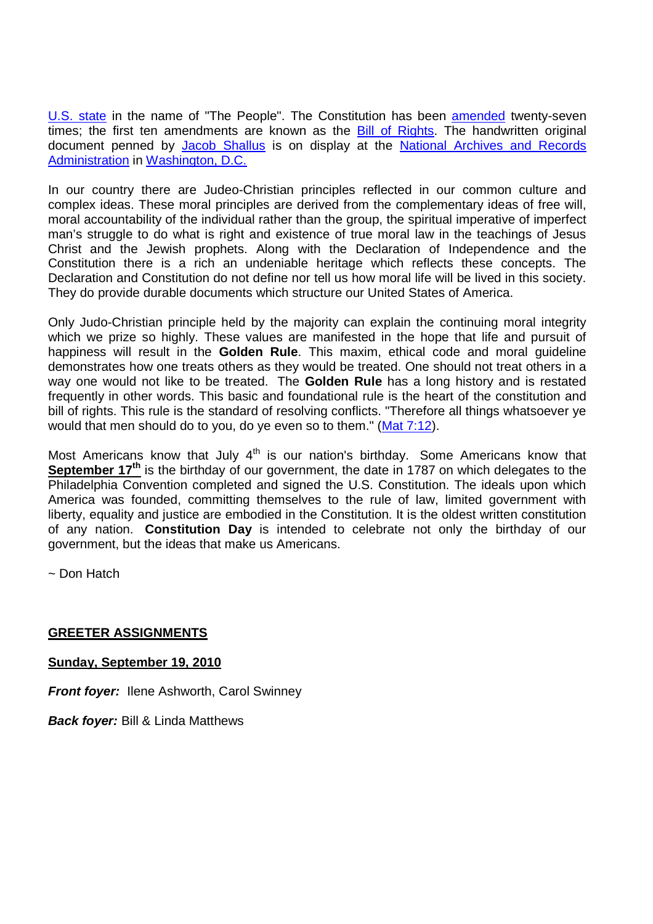U.S. state in the name of "The People". The Constitution has been amended twenty-seven times; the first ten amendments are known as the Bill of Rights. The handwritten original document penned by Jacob Shallus is on display at the National Archives and Records Administration in Washington, D.C.

In our country there are Judeo-Christian principles reflected in our common culture and complex ideas. These moral principles are derived from the complementary ideas of free will, moral accountability of the individual rather than the group, the spiritual imperative of imperfect man's struggle to do what is right and existence of true moral law in the teachings of Jesus Christ and the Jewish prophets. Along with the Declaration of Independence and the Constitution there is a rich an undeniable heritage which reflects these concepts. The Declaration and Constitution do not define nor tell us how moral life will be lived in this society. They do provide durable documents which structure our United States of America.

Only Judo-Christian principle held by the majority can explain the continuing moral integrity which we prize so highly. These values are manifested in the hope that life and pursuit of happiness will result in the **Golden Rule**. This maxim, ethical code and moral guideline demonstrates how one treats others as they would be treated. One should not treat others in a way one would not like to be treated. The **Golden Rule** has a long history and is restated frequently in other words. This basic and foundational rule is the heart of the constitution and bill of rights. This rule is the standard of resolving conflicts. "Therefore all things whatsoever ye would that men should do to you, do ye even so to them." (Mat 7:12).

Most Americans know that July  $4<sup>th</sup>$  is our nation's birthday. Some Americans know that **September 17<sup>th</sup>** is the birthday of our government, the date in 1787 on which delegates to the Philadelphia Convention completed and signed the U.S. Constitution. The ideals upon which America was founded, committing themselves to the rule of law, limited government with liberty, equality and justice are embodied in the Constitution. It is the oldest written constitution of any nation. **Constitution Day** is intended to celebrate not only the birthday of our government, but the ideas that make us Americans.

~ Don Hatch

#### **GREETER ASSIGNMENTS**

**Sunday, September 19, 2010**

*Front foyer:* Ilene Ashworth, Carol Swinney

*Back foyer:* Bill & Linda Matthews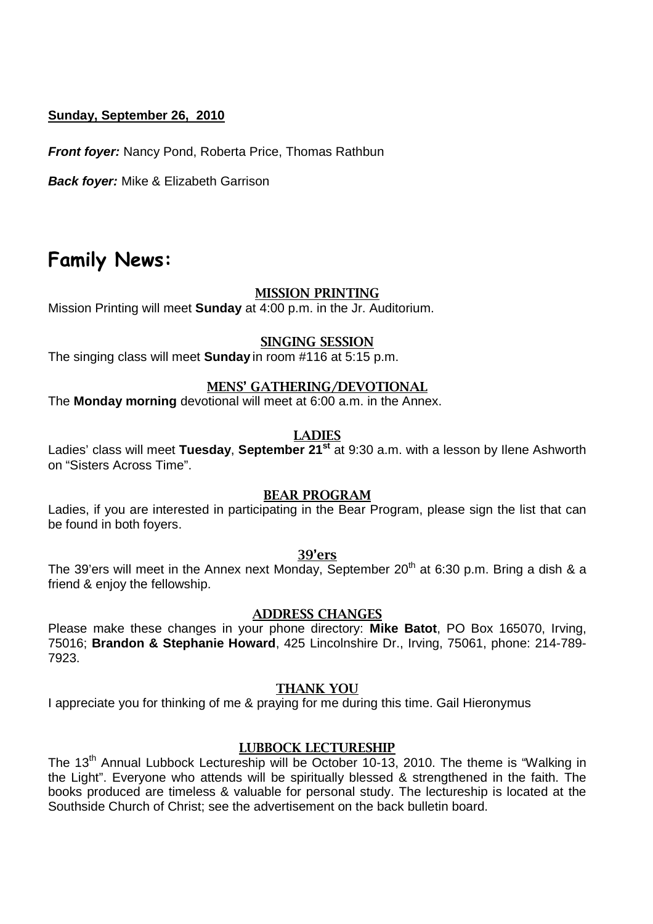#### **Sunday, September 26, 2010**

*Front foyer:* Nancy Pond, Roberta Price, Thomas Rathbun

*Back foyer:* Mike & Elizabeth Garrison

## **Family News:**

#### **MISSION PRINTING**

Mission Printing will meet **Sunday** at 4:00 p.m. in the Jr. Auditorium.

#### **SINGING SESSION**

The singing class will meet **Sunday** in room #116 at 5:15 p.m.

#### **MENS' GATHERING/DEVOTIONAL**

The **Monday morning** devotional will meet at 6:00 a.m. in the Annex.

#### **LADIES**

Ladies' class will meet **Tuesday**, **September 21st** at 9:30 a.m. with a lesson by Ilene Ashworth on "Sisters Across Time".

#### **BEAR PROGRAM**

Ladies, if you are interested in participating in the Bear Program, please sign the list that can be found in both foyers.

**39'ers**

The 39'ers will meet in the Annex next Monday, September 20<sup>th</sup> at 6:30 p.m. Bring a dish & a friend & enjoy the fellowship.

#### **ADDRESS CHANGES**

Please make these changes in your phone directory: **Mike Batot**, PO Box 165070, Irving, 75016; **Brandon & Stephanie Howard**, 425 Lincolnshire Dr., Irving, 75061, phone: 214-789- 7923.

#### **THANK YOU**

I appreciate you for thinking of me & praying for me during this time. Gail Hieronymus

#### **LUBBOCK LECTURESHIP**

The 13<sup>th</sup> Annual Lubbock Lectureship will be October 10-13, 2010. The theme is "Walking in the Light". Everyone who attends will be spiritually blessed & strengthened in the faith. The books produced are timeless & valuable for personal study. The lectureship is located at the Southside Church of Christ; see the advertisement on the back bulletin board.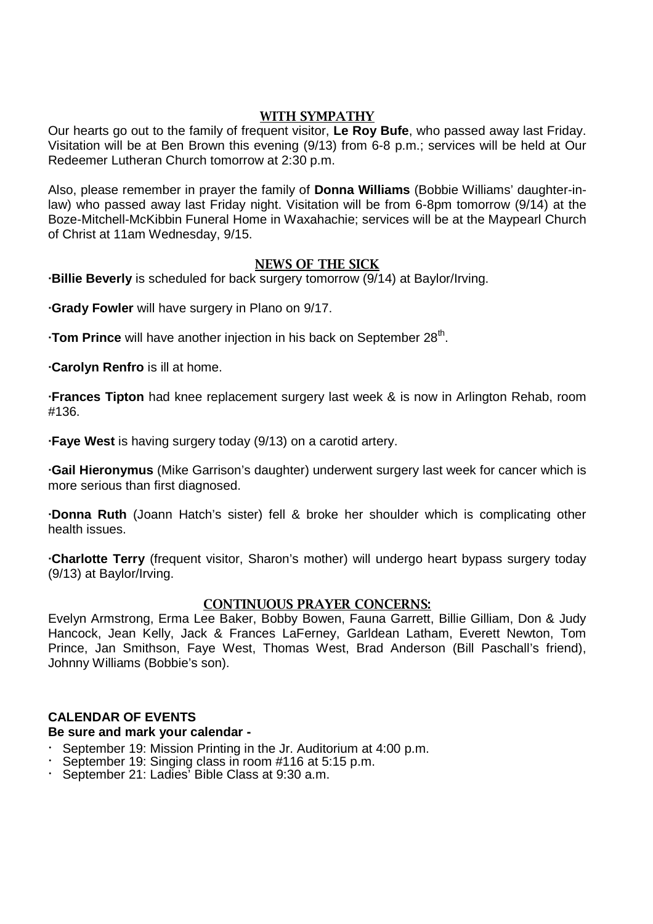### **WITH SYMPATHY**

Our hearts go out to the family of frequent visitor, **Le Roy Bufe**, who passed away last Friday. Visitation will be at Ben Brown this evening (9/13) from 6-8 p.m.; services will be held at Our Redeemer Lutheran Church tomorrow at 2:30 p.m.

Also, please remember in prayer the family of **Donna Williams** (Bobbie Williams' daughter-inlaw) who passed away last Friday night. Visitation will be from 6-8pm tomorrow (9/14) at the Boze-Mitchell-McKibbin Funeral Home in Waxahachie; services will be at the Maypearl Church of Christ at 11am Wednesday, 9/15.

#### **NEWS OF THE SICK**

**∙Billie Beverly** is scheduled for back surgery tomorrow (9/14) at Baylor/Irving.

**∙Grady Fowler** will have surgery in Plano on 9/17.

**∙Tom Prince** will have another injection in his back on September 28<sup>th</sup>.

**∙Carolyn Renfro** is ill at home.

**∙Frances Tipton** had knee replacement surgery last week & is now in Arlington Rehab, room #136.

**∙Faye West** is having surgery today (9/13) on a carotid artery.

**∙Gail Hieronymus** (Mike Garrison's daughter) underwent surgery last week for cancer which is more serious than first diagnosed.

**∙Donna Ruth** (Joann Hatch's sister) fell & broke her shoulder which is complicating other health issues.

**∙Charlotte Terry** (frequent visitor, Sharon's mother) will undergo heart bypass surgery today (9/13) at Baylor/Irving.

#### **CONTINUOUS PRAYER CONCERNS:**

Evelyn Armstrong, Erma Lee Baker, Bobby Bowen, Fauna Garrett, Billie Gilliam, Don & Judy Hancock, Jean Kelly, Jack & Frances LaFerney, Garldean Latham, Everett Newton, Tom Prince, Jan Smithson, Faye West, Thomas West, Brad Anderson (Bill Paschall's friend), Johnny Williams (Bobbie's son).

### **CALENDAR OF EVENTS**

#### **Be sure and mark your calendar -**

- · September 19: Mission Printing in the Jr. Auditorium at 4:00 p.m.
- September 19: Singing class in room #116 at 5:15 p.m.
- · September 21: Ladies' Bible Class at 9:30 a.m.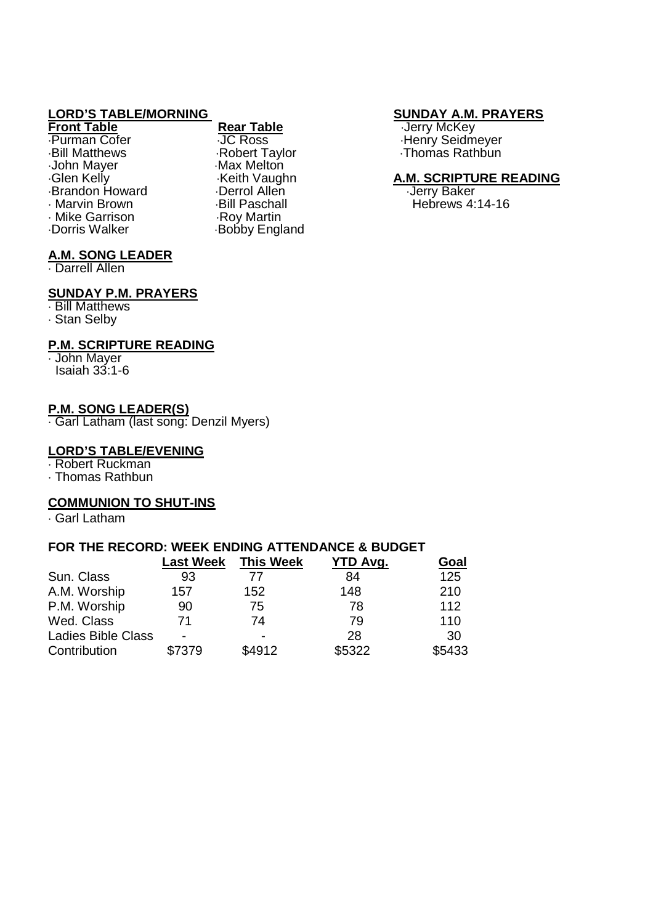**Front Table Rear Table Rear Table Rear Table Rear Table Rear Table Rear Table Rear Table Rear Table Rear Table Rear Table Rear Table Rear Table Rear Table Rear Table Rear Table Rear Table** Bill Matthews Robert Taylor Thomas Rathbun John Mayer Max Melton<br>Glen Kelly May Meith Vaughn Glen Kelly Brandon Howard Derrol Allen - Derrol Allen<br>Baker Brown Brown - Bill Paschall - Baker Mike Garrison<br>Dorris Walker

Keith Vaughn **A.M. SCRIPTURE READING**<br>
Derrol Allen **Carlo Andrew Control Allen** Bill Paschall Fund Brown Bill Paschall Hebrews 4:14-16 Bobby England

# **LORD'S TABLE/MORNING**<br> **Rear Table Street Boot SUNDAY A.M. PRAYERS**<br> **SUNDAY A.M. PRAYERS**

Purman Cofer **JC Ross** Journal Cofer 3. Thenry Seidmeyer<br>
Bill Matthews General Abbert Taylor<br>
Bill Matthews General Abbert Taylor<br>
Bill Matthews

#### **A.M. SONG LEADER**

Darrell Allen

#### **SUNDAY P.M. PRAYERS**

 Bill Matthews Stan Selby

#### **P.M. SCRIPTURE READING**

John Mayer

Isaiah 33:1-6

#### **P.M. SONG LEADER(S)**

Garl Latham (last song: Denzil Myers)

#### **LORD'S TABLE/EVENING**

Robert Ruckman

Thomas Rathbun

#### **COMMUNION TO SHUT-INS**

Garl Latham

#### **FOR THE RECORD: WEEK ENDING ATTENDANCE & BUDGET**

|                           | <b>Last Week</b> | <b>This Week</b> | YTD Avg. | Goal   |
|---------------------------|------------------|------------------|----------|--------|
| Sun. Class                | 93               | 77               | 84       | 125    |
| A.M. Worship              | 157              | 152              | 148      | 210    |
| P.M. Worship              | 90               | 75               | 78       | 112    |
| Wed. Class                | 71               | 74               | 79       | 110    |
| <b>Ladies Bible Class</b> |                  |                  | 28       | 30     |
| Contribution              | \$7379           | \$4912           | \$5322   | \$5433 |